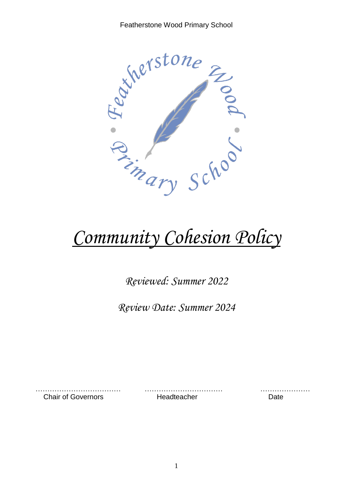

# *Community Cohesion Policy*

*Reviewed: Summer 2022*

*Review Date: Summer 2024*

Chair of Governors **Headteacher** Date

……………………………… …………………………… …………………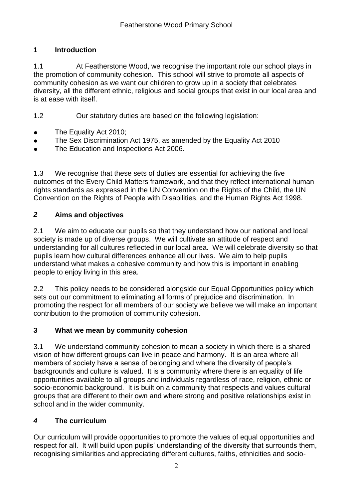### **1 Introduction**

1.1 At Featherstone Wood, we recognise the important role our school plays in the promotion of community cohesion. This school will strive to promote all aspects of community cohesion as we want our children to grow up in a society that celebrates diversity, all the different ethnic, religious and social groups that exist in our local area and is at ease with itself.

1.2 Our statutory duties are based on the following legislation:

- The Equality Act 2010;
- The Sex Discrimination Act 1975, as amended by the Equality Act 2010
- The Education and Inspections Act 2006.

1.3 We recognise that these sets of duties are essential for achieving the five outcomes of the Every Child Matters framework, and that they reflect international human rights standards as expressed in the UN Convention on the Rights of the Child, the UN Convention on the Rights of People with Disabilities, and the Human Rights Act 1998.

#### *2* **Aims and objectives**

2.1 We aim to educate our pupils so that they understand how our national and local society is made up of diverse groups. We will cultivate an attitude of respect and understanding for all cultures reflected in our local area. We will celebrate diversity so that pupils learn how cultural differences enhance all our lives. We aim to help pupils understand what makes a cohesive community and how this is important in enabling people to enjoy living in this area.

2.2 This policy needs to be considered alongside our Equal Opportunities policy which sets out our commitment to eliminating all forms of prejudice and discrimination. In promoting the respect for all members of our society we believe we will make an important contribution to the promotion of community cohesion.

#### **3 What we mean by community cohesion**

3.1 We understand community cohesion to mean a society in which there is a shared vision of how different groups can live in peace and harmony. It is an area where all members of society have a sense of belonging and where the diversity of people's backgrounds and culture is valued. It is a community where there is an equality of life opportunities available to all groups and individuals regardless of race, religion, ethnic or socio-economic background. It is built on a community that respects and values cultural groups that are different to their own and where strong and positive relationships exist in school and in the wider community.

## *4* **The curriculum**

Our curriculum will provide opportunities to promote the values of equal opportunities and respect for all. It will build upon pupils' understanding of the diversity that surrounds them, recognising similarities and appreciating different cultures, faiths, ethnicities and socio-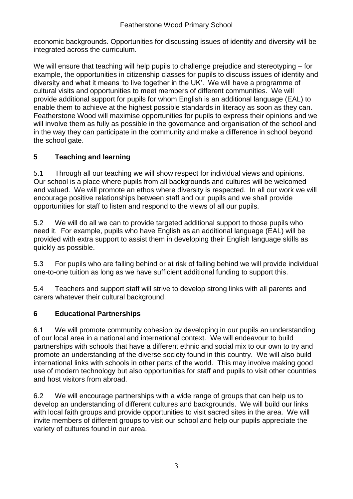economic backgrounds. Opportunities for discussing issues of identity and diversity will be integrated across the curriculum.

We will ensure that teaching will help pupils to challenge prejudice and stereotyping – for example, the opportunities in citizenship classes for pupils to discuss issues of identity and diversity and what it means 'to live together in the UK'. We will have a programme of cultural visits and opportunities to meet members of different communities. We will provide additional support for pupils for whom English is an additional language (EAL) to enable them to achieve at the highest possible standards in literacy as soon as they can. Featherstone Wood will maximise opportunities for pupils to express their opinions and we will involve them as fully as possible in the governance and organisation of the school and in the way they can participate in the community and make a difference in school beyond the school gate.

## **5 Teaching and learning**

5.1 Through all our teaching we will show respect for individual views and opinions. Our school is a place where pupils from all backgrounds and cultures will be welcomed and valued. We will promote an ethos where diversity is respected. In all our work we will encourage positive relationships between staff and our pupils and we shall provide opportunities for staff to listen and respond to the views of all our pupils.

5.2 We will do all we can to provide targeted additional support to those pupils who need it. For example, pupils who have English as an additional language (EAL) will be provided with extra support to assist them in developing their English language skills as quickly as possible.

5.3 For pupils who are falling behind or at risk of falling behind we will provide individual one-to-one tuition as long as we have sufficient additional funding to support this.

5.4 Teachers and support staff will strive to develop strong links with all parents and carers whatever their cultural background.

## **6 Educational Partnerships**

6.1 We will promote community cohesion by developing in our pupils an understanding of our local area in a national and international context. We will endeavour to build partnerships with schools that have a different ethnic and social mix to our own to try and promote an understanding of the diverse society found in this country. We will also build international links with schools in other parts of the world. This may involve making good use of modern technology but also opportunities for staff and pupils to visit other countries and host visitors from abroad.

6.2 We will encourage partnerships with a wide range of groups that can help us to develop an understanding of different cultures and backgrounds. We will build our links with local faith groups and provide opportunities to visit sacred sites in the area. We will invite members of different groups to visit our school and help our pupils appreciate the variety of cultures found in our area.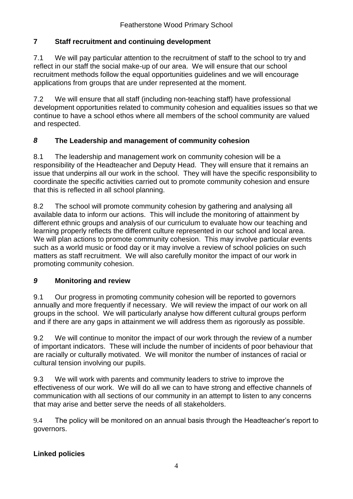### **7 Staff recruitment and continuing development**

7.1 We will pay particular attention to the recruitment of staff to the school to try and reflect in our staff the social make-up of our area. We will ensure that our school recruitment methods follow the equal opportunities guidelines and we will encourage applications from groups that are under represented at the moment.

7.2 We will ensure that all staff (including non-teaching staff) have professional development opportunities related to community cohesion and equalities issues so that we continue to have a school ethos where all members of the school community are valued and respected.

#### *8* **The Leadership and management of community cohesion**

8.1 The leadership and management work on community cohesion will be a responsibility of the Headteacher and Deputy Head. They will ensure that it remains an issue that underpins all our work in the school. They will have the specific responsibility to coordinate the specific activities carried out to promote community cohesion and ensure that this is reflected in all school planning.

8.2 The school will promote community cohesion by gathering and analysing all available data to inform our actions. This will include the monitoring of attainment by different ethnic groups and analysis of our curriculum to evaluate how our teaching and learning properly reflects the different culture represented in our school and local area. We will plan actions to promote community cohesion. This may involve particular events such as a world music or food day or it may involve a review of school policies on such matters as staff recruitment. We will also carefully monitor the impact of our work in promoting community cohesion.

#### *9* **Monitoring and review**

9.1 Our progress in promoting community cohesion will be reported to governors annually and more frequently if necessary. We will review the impact of our work on all groups in the school. We will particularly analyse how different cultural groups perform and if there are any gaps in attainment we will address them as rigorously as possible.

9.2 We will continue to monitor the impact of our work through the review of a number of important indicators. These will include the number of incidents of poor behaviour that are racially or culturally motivated. We will monitor the number of instances of racial or cultural tension involving our pupils.

9.3 We will work with parents and community leaders to strive to improve the effectiveness of our work. We will do all we can to have strong and effective channels of communication with all sections of our community in an attempt to listen to any concerns that may arise and better serve the needs of all stakeholders.

9.4 The policy will be monitored on an annual basis through the Headteacher's report to governors.

## **Linked policies**